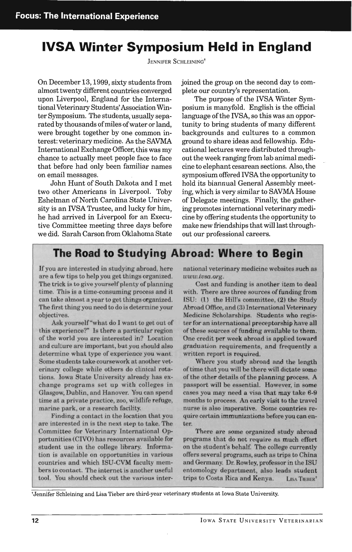## **IVSA Winter Symposium Held in England**

JENNIFER SCHLEINING<sup>†</sup>

On December 13, 1999, sixty students from almost twenty different countries converged upon Liverpool, England for the International Veterinary Students' Association Winter Symposium. The students, usually separated by thousands of miles of water or land, were brought together by one common interest: veterinary medicine. As the SAVMA International Exchange Officer, this was my chance to actually meet people face to face that before had only been familiar names on email messages.

John Hunt of South Dakota and I met two other Americans in Liverpool. Toby Eshelman of North Carolina State University is an IVSA Trustee, and lucky for him, he had arrived in Liverpool for an Executive Committee meeting three days before we did. Sarah Carson from Oklahoma State joined the group on the second day to complete our country's representation.

The purpose of the IVSA Winter Symposium is manyfold. English is the official language of the IVSA, so this was an opportunity to bring students of many different backgrounds and cultures to a common ground to share ideas and fellowship. Educational lectures were distributed throughout the week ranging from lab animal medicine to elephant cesarean sections. Also, the symposium offered IVSA the opportunity to hold its biannual General Assembly meeting, which is very similar to SAVMA House of Delegate meetings. Finally, the gathering promotes international veterinary medicine by offering students the opportunity to make new friendships that will last throughout our professional careers.

## **The Road to Studying Abroad: Where to Begin**

If you are interested in studying abroad, here are a few tips to help you get things organized. The trick is to give yourself plenty of planning time. This is a time-consuming process and it can take almost a year to get things organized. The first thing you need to do is determine your objectives.

Ask yourself"what do I want to get out of this experience?" Is there a particular region of the world you are interested in? Location and culture are important, but you should also determine what type of experience you want. Some students take coursework at another veterinary college while others do clinical rotations. Iowa State University already has exchange programs set up with colleges in Glasgow, Dublin, and Hanover. You can spend time at a private practice, zoo, wildlife refuge, marine park, or a research facility.

Finding a contact in the location that you are interested in is the next step to take. The Committee for Veterinary International Opportunities (CIVO) has resources available for student use in the college library. Information is available on opportunities in various countries and which ISU-CYM faculty members to contact. The internet is another useful tool. You should check out the various international veterinary medicine websites such as *www.iusa.org.* 

Cost and funding is another item to deal with. There are three sources of funding from ISU: (1) the Hill's committee, (2) the Study Abroad Office, and (3) International Veterinary Medicine Scholarships. Students who register for an international preceptorship have all of these sources of funding available to them. One credit per week abroad is applied toward graduation requirements, and frequently a written report is required.

Where you study abroad and the length of time that you will be there will dictate some of the other details of the planning process. A passport will be essential. However, in some cases you may need a visa that may take 6-9 months to process. An early visit to the travel nurse is also imperative. Some countries require certain immunizations before you can enter.

There are some organized study abroad programs that do not require as much effort on the student's behalf. The college currently offers several programs, such as trips to China and Germany. Dr. Rowley, professor in the ISU entomology department, also leads student trips to Costa Rica and Kenya. LISA TIEBER<sup>t</sup>

fJennifer Schleining and Lisa Tieber are third-year veterinary students at Iowa State University.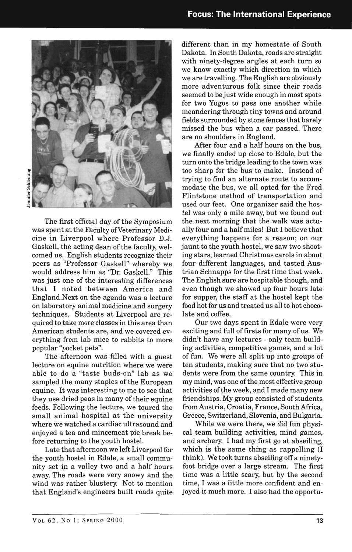

Schleining

The first official day of the Symposium was spent at the Faculty of Veterinary Medicine in Liverpool where Professor D.J. Gaskell, the acting dean of the faculty, welcomed us. English students recognize their peers as "Professor Gaskell" whereby we would address him as "Dr. Gaskell." This was just one of the interesting differences that I noted between America and England.Next on the agenda was a lecture on laboratory animal medicine and surgery techniques. Students at Liverpool are required to take more classes in this area than American students are, and we covered everything from lab mice to rabbits to more popular "pocket pets".

The afternoon was filled with a guest lecture on equine nutrition where we were able to do a "taste buds-on" lab as we sampled the many staples of the European equine. It was interesting to me to see that they use dried peas in many of their equine feeds. Following the lecture, we toured the small animal hospital at the university where we watched a cardiac ultrasound and enjoyed a tea and mincemeat pie break before returning to the youth hostel.

Late that afternoon we left Liverpool for the youth hostel in Edale, a small community set in a valley two and a half hours away. The roads were very snowy and the wind was rather blustery. Not to mention that England's engineers built roads quite different than in my homestate of South Dakota. In South Dakota, roads are straight with ninety-degree angles at each turn so we know exactly which direction in which we are travelling. The English are obviously more adventurous folk since their roads seemed to be just wide enough in most spots for two Yugos to pass one another while meandering through tiny towns and around fields surrounded by stone fences that barely missed the bus when a car passed. There are no shoulders in England.

After four and a half hours on the bus, we finally ended up close to Edale, but the turn onto the bridge leading to the town was too sharp for the bus to make. Instead of trying to find an alternate route to accommodate the bus, we all opted for the Fred Flintstone method of transportation and used our feet. One organizer said the hostel was only a mile away, but we found out the next morning that the walk was actually four and a half miles! But I believe that everything happens for a reason; on our jaunt to the youth hostel, we saw two shooting stars, learned Christmas carols in about four different languages, and tasted Austrian Schnapps for the first time that week. The English sure are hospitable though, and even though we showed up four hours late for supper, the staff at the hostel kept the food hot for us and treated us all to hot chocolate and coffee.

Our two days spent in Edale were very exciting and full of firsts for many of us. We didn't have any lectures - only team building activities, competitive games, and a lot of fun. We were all split up into groups of ten students, making sure that no two students were from the same country. This in my mind, was one of the most effective group activities of the week, and I made many new friendships. My group consisted of students from Austria, Croatia, France, South Africa, Greece, Switzerland, Slovenia, and Bulgaria.

While we were there, we did fun physical team building activities, mind games, and archery. I had my first go at abseiling, which is the same thing as rappelling (I think). We took turns abseiling off a ninetyfoot bridge over a large stream. The first time was a little scary, but by the second time, I was a little more confident and enjoyed it much more. I also had the opportu-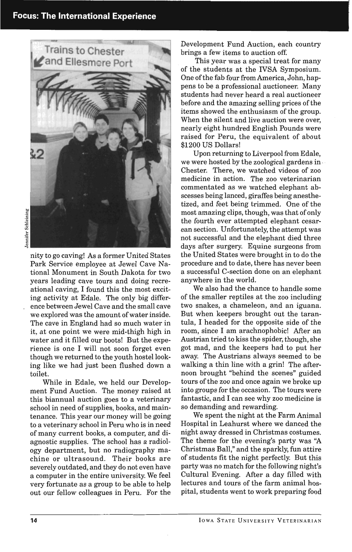

nity to go caving! As a former United States Park Service employee at Jewel Cave National Monument in South Dakota for two years leading cave tours and doing recreational caving, I found this the most exciting activity at Edale. The only big difference between Jewel Cave and the small cave we explored was the amount of water inside. The cave in England had so much water in it, at one point we were mid-thigh high in water and it filled our boots! But the experience is one I will not soon forget even though we returned to the youth hostel looking like we had just been flushed down a toilet.

While in Edale, we held our Development Fund Auction. The money raised at this biannual auction goes to a veterinary school in need of supplies, books, and maintenance. This year our money will be going to a veterinary school in Peru who is in need of many current books, a computer, and diagnostic supplies. The school has a radiology department, but no radiography machine or ultrasound. Their books are severely outdated, and they do not even have a computer in the entire university. We feel very fortunate as a group to be able to help out our fellow colleagues in Peru. For the

Development Fund Auction, each country brings a few items to auction off.

This year was a special treat for many of the students at the IVSA Symposium. One of the fab four from America, John, happens to be a professional auctioneer. Many students had never heard a real auctioneer before and the amazing selling prices of the items showed the enthusiasm of the group. When the silent and live auction were over. nearly eight hundred English Pounds were raised for Peru, the equivalent of about \$1200 US Dollars!

Upon returning to Liverpool from Edale, we were hosted by the zoological gardens in · Chester. There, we watched videos of zoo medicine in action. The zoo veterinarian commentated as we watched elephant abscesses being lanced, giraffes being anesthetized, and feet being trimmed. One of the most amazing clips, though, was that of only the fourth ever attempted elephant cesarean section. Unfortunately, the attempt was not successful and the elephant died three days after surgery. Equine surgeons from the United States were brought in to do the procedure and to date, there has never been a successful C-section done on an elephant anywhere in the world.

We also had the chance to handle some of the smaller reptiles at the zoo including two snakes, a chameleon, and an iguana. But when keepers brought out the tarantula, I headed for the opposite side of the room, since I am arachnophobic! After an Austrian tried to kiss the spider, though, she got mad, and the keepers had to put her away. The Austrians always seemed to be walking a thin line with a grin! The afternoon brought "behind the scenes" guided tours of the zoo and once again we broke up into groups for the occasion. The tours were fantastic, and I can see why zoo medicine is so demanding and rewarding.

We spent the night at the Farm Animal Hospital in Leahurst where we danced the night away dressed in Christmas costumes. The theme for the evening's party was "A Christmas Ball," and the sparkly, fun attire of students fit the night perfectly. But this party was no match for the following night's Cultural Evening. After a day filled with lectures and tours of the farm animal hospital, students went to work preparing food